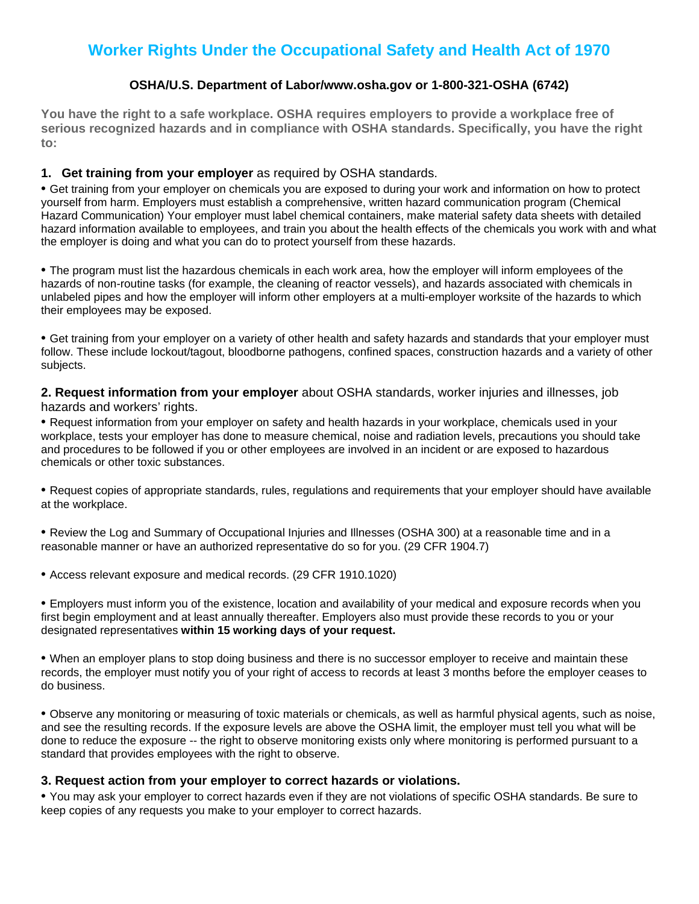## **Worker Rights Under the Occupational Safety and Health Act of 1970**

### **OSHA/U.S. Department of Labor/www.osha.gov or 1-800-321-OSHA (6742)**

**You have the right to a safe workplace. OSHA requires employers to provide a workplace free of serious recognized hazards and in compliance with OSHA standards. Specifically, you have the right to:**

### **1. Get training from your employer** as required by OSHA standards.

• Get training from your employer on chemicals you are exposed to during your work and information on how to protect yourself from harm. Employers must establish a comprehensive, written hazard communication program (Chemical Hazard Communication) Your employer must label chemical containers, make material safety data sheets with detailed hazard information available to employees, and train you about the health effects of the chemicals you work with and what the employer is doing and what you can do to protect yourself from these hazards.

• The program must list the hazardous chemicals in each work area, how the employer will inform employees of the hazards of non-routine tasks (for example, the cleaning of reactor vessels), and hazards associated with chemicals in unlabeled pipes and how the employer will inform other employers at a multi-employer worksite of the hazards to which their employees may be exposed.

• Get training from your employer on a variety of other health and safety hazards and standards that your employer must follow. These include lockout/tagout, bloodborne pathogens, confined spaces, construction hazards and a variety of other subjects.

**2. Request information from your employer** about OSHA standards, worker injuries and illnesses, job hazards and workers' rights.

• Request information from your employer on safety and health hazards in your workplace, chemicals used in your workplace, tests your employer has done to measure chemical, noise and radiation levels, precautions you should take and procedures to be followed if you or other employees are involved in an incident or are exposed to hazardous chemicals or other toxic substances.

• Request copies of appropriate standards, rules, regulations and requirements that your employer should have available at the workplace.

• Review the Log and Summary of Occupational Injuries and Illnesses (OSHA 300) at a reasonable time and in a reasonable manner or have an authorized representative do so for you. (29 CFR 1904.7)

• Access relevant exposure and medical records. (29 CFR 1910.1020)

• Employers must inform you of the existence, location and availability of your medical and exposure records when you first begin employment and at least annually thereafter. Employers also must provide these records to you or your designated representatives **within 15 working days of your request.**

• When an employer plans to stop doing business and there is no successor employer to receive and maintain these records, the employer must notify you of your right of access to records at least 3 months before the employer ceases to do business.

• Observe any monitoring or measuring of toxic materials or chemicals, as well as harmful physical agents, such as noise, and see the resulting records. If the exposure levels are above the OSHA limit, the employer must tell you what will be done to reduce the exposure -- the right to observe monitoring exists only where monitoring is performed pursuant to a standard that provides employees with the right to observe.

### **3. Request action from your employer to correct hazards or violations.**

• You may ask your employer to correct hazards even if they are not violations of specific OSHA standards. Be sure to keep copies of any requests you make to your employer to correct hazards.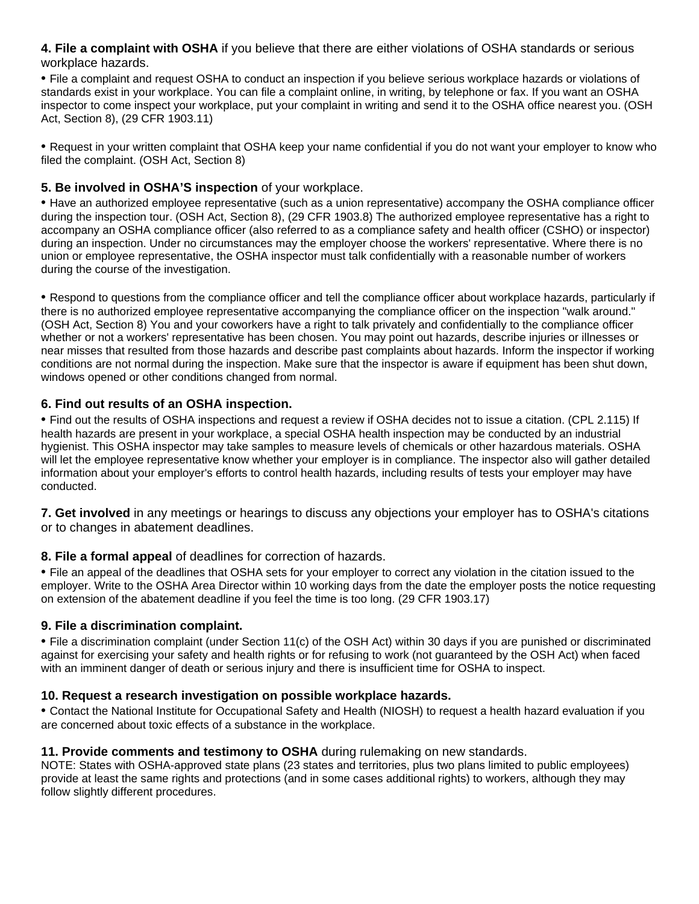**4. File a complaint with OSHA** if you believe that there are either violations of OSHA standards or serious workplace hazards.

• File a complaint and request OSHA to conduct an inspection if you believe serious workplace hazards or violations of standards exist in your workplace. You can file a complaint online, in writing, by telephone or fax. If you want an OSHA inspector to come inspect your workplace, put your complaint in writing and send it to the OSHA office nearest you. (OSH Act, Section 8), (29 CFR 1903.11)

• Request in your written complaint that OSHA keep your name confidential if you do not want your employer to know who filed the complaint. (OSH Act, Section 8)

### **5. Be involved in OSHA'S inspection** of your workplace.

• Have an authorized employee representative (such as a union representative) accompany the OSHA compliance officer during the inspection tour. (OSH Act, Section 8), (29 CFR 1903.8) The authorized employee representative has a right to accompany an OSHA compliance officer (also referred to as a compliance safety and health officer (CSHO) or inspector) during an inspection. Under no circumstances may the employer choose the workers' representative. Where there is no union or employee representative, the OSHA inspector must talk confidentially with a reasonable number of workers during the course of the investigation.

• Respond to questions from the compliance officer and tell the compliance officer about workplace hazards, particularly if there is no authorized employee representative accompanying the compliance officer on the inspection "walk around." (OSH Act, Section 8) You and your coworkers have a right to talk privately and confidentially to the compliance officer whether or not a workers' representative has been chosen. You may point out hazards, describe injuries or illnesses or near misses that resulted from those hazards and describe past complaints about hazards. Inform the inspector if working conditions are not normal during the inspection. Make sure that the inspector is aware if equipment has been shut down, windows opened or other conditions changed from normal.

### **6. Find out results of an OSHA inspection.**

• Find out the results of OSHA inspections and request a review if OSHA decides not to issue a citation. (CPL 2.115) If health hazards are present in your workplace, a special OSHA health inspection may be conducted by an industrial hygienist. This OSHA inspector may take samples to measure levels of chemicals or other hazardous materials. OSHA will let the employee representative know whether your employer is in compliance. The inspector also will gather detailed information about your employer's efforts to control health hazards, including results of tests your employer may have conducted.

**7. Get involved** in any meetings or hearings to discuss any objections your employer has to OSHA's citations or to changes in abatement deadlines.

### **8. File a formal appeal** of deadlines for correction of hazards.

• File an appeal of the deadlines that OSHA sets for your employer to correct any violation in the citation issued to the employer. Write to the OSHA Area Director within 10 working days from the date the employer posts the notice requesting on extension of the abatement deadline if you feel the time is too long. (29 CFR 1903.17)

### **9. File a discrimination complaint.**

• File a discrimination complaint (under Section 11(c) of the OSH Act) within 30 days if you are punished or discriminated against for exercising your safety and health rights or for refusing to work (not guaranteed by the OSH Act) when faced with an imminent danger of death or serious injury and there is insufficient time for OSHA to inspect.

### **10. Request a research investigation on possible workplace hazards.**

• Contact the National Institute for Occupational Safety and Health (NIOSH) to request a health hazard evaluation if you are concerned about toxic effects of a substance in the workplace.

### **11. Provide comments and testimony to OSHA** during rulemaking on new standards.

NOTE: States with OSHA-approved state plans (23 states and territories, plus two plans limited to public employees) provide at least the same rights and protections (and in some cases additional rights) to workers, although they may follow slightly different procedures.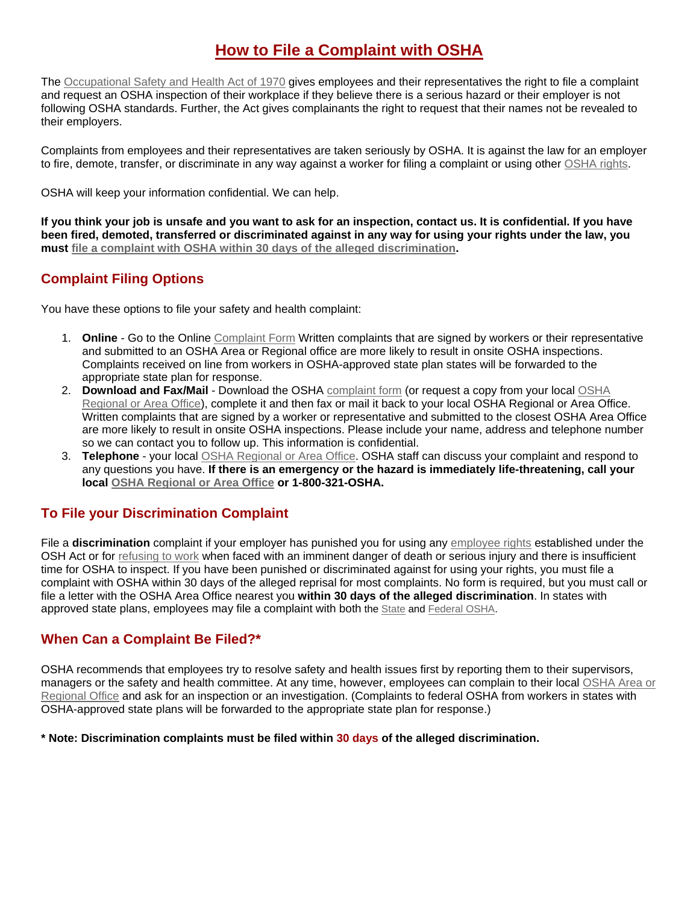## **How to File a Complaint with OSHA**

The [Occupational Safety and Health Act of 1970](http://www.osha.gov/pls/oshaweb/owadisp.show_document?p_table=OSHACT&p_id=2743) gives employees and their representatives the right to file a complaint and request an OSHA inspection of their workplace if they believe there is a serious hazard or their employer is not following OSHA standards. Further, the Act gives complainants the right to request that their names not be revealed to their employers.

Complaints from employees and their representatives are taken seriously by OSHA. It is against the law for an employer to fire, demote, transfer, or discriminate in any way against a worker for filing a complaint or using other [OSHA rights.](http://www.osha.gov/workers.html)

OSHA will keep your information confidential. We can help.

**If you think your job is unsafe and you want to ask for an inspection, contact us. It is confidential. If you have been fired, demoted, transferred or discriminated against in any way for using your rights under the law, you must [file a complaint with OSHA within 30 days of the alleged discrimination.](http://www.osha.gov/workers.html)**

### **Complaint Filing Options**

You have these options to file your safety and health complaint:

- 1. **Online** Go to the Online [Complaint Form](http://www.osha.gov/pls/osha7/eComplaintForm.html) Written complaints that are signed by workers or their representative and submitted to an OSHA Area or Regional office are more likely to result in onsite OSHA inspections. Complaints received on line from workers in OSHA-approved state plan states will be forwarded to the appropriate state plan for response.
- 2. **Download and Fax/Mail** Download the OSHA [complaint form](http://www.osha.gov/oshforms/osha7.pdf) (or request a copy from your local [OSHA](http://www.osha.gov/html/RAmap.html)  [Regional or Area Office\)](http://www.osha.gov/html/RAmap.html), complete it and then fax or mail it back to your local OSHA Regional or Area Office. Written complaints that are signed by a worker or representative and submitted to the closest OSHA Area Office are more likely to result in onsite OSHA inspections. Please include your name, address and telephone number so we can contact you to follow up. This information is confidential.
- 3. **Telephone** your local [OSHA Regional or Area Office.](http://www.osha.gov/html/RAmap.html) OSHA staff can discuss your complaint and respond to any questions you have. **If there is an emergency or the hazard is immediately life-threatening, call your local [OSHA Regional or Area Office](http://www.osha.gov/html/RAmap.html) or 1-800-321-OSHA.**

## **To File your Discrimination Complaint**

File a **discrimination** complaint if your employer has punished you for using any [employee rights](http://www.osha.gov/workers.html) established under the OSH Act or for [refusing to work](http://www.osha.gov/as/opa/worker/refuse.html) when faced with an imminent danger of death or serious injury and there is insufficient time for OSHA to inspect. If you have been punished or discriminated against for using your rights, you must file a complaint with OSHA within 30 days of the alleged reprisal for most complaints. No form is required, but you must call or file a letter with the OSHA Area Office nearest you **within 30 days of the alleged discrimination**. In states with approved state plans, employees may file a complaint with both the [State](http://www.osha.gov/dcsp/osp/index.html) and [Federal OSHA.](http://www.osha.gov/html/RAmap.html)

## **When Can a Complaint Be Filed?\***

OSHA recommends that employees try to resolve safety and health issues first by reporting them to their supervisors, managers or the safety and health committee. At any time, however, employees can complain to their local OSHA Area or [Regional Office](http://www.osha.gov/html/RAmap.html) and ask for an inspection or an investigation. (Complaints to federal OSHA from workers in states with OSHA-approved state plans will be forwarded to the appropriate state plan for response.)

#### **\* Note: Discrimination complaints must be filed within 30 days of the alleged discrimination.**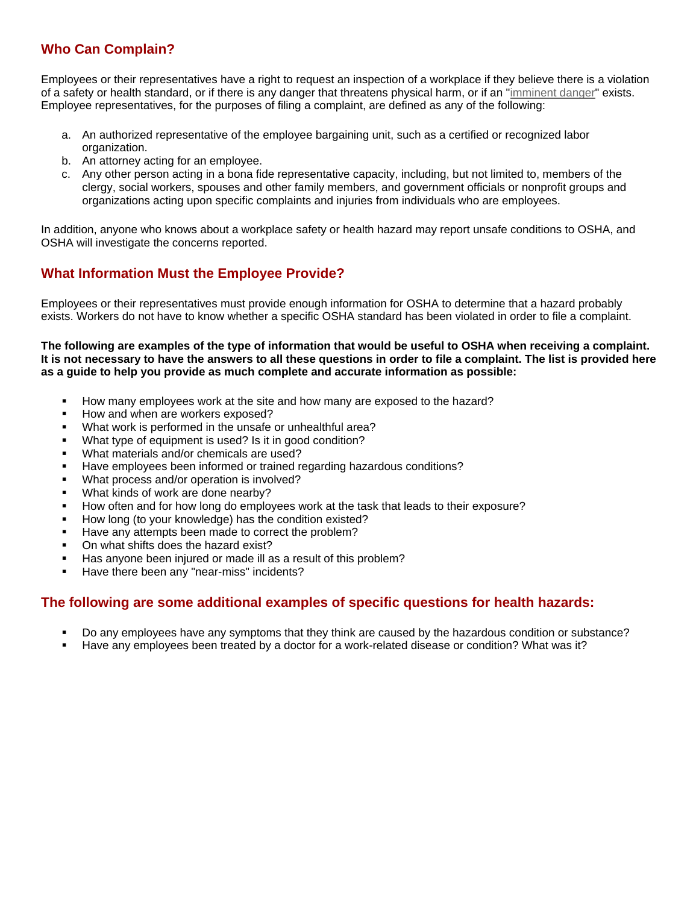## **Who Can Complain?**

Employees or their representatives have a right to request an inspection of a workplace if they believe there is a violation of a safety or health standard, or if there is any danger that threatens physical harm, or if an ["imminent danger"](http://www.osha.gov/as/opa/worker/danger.html) exists. Employee representatives, for the purposes of filing a complaint, are defined as any of the following:

- a. An authorized representative of the employee bargaining unit, such as a certified or recognized labor organization.
- b. An attorney acting for an employee.
- c. Any other person acting in a bona fide representative capacity, including, but not limited to, members of the clergy, social workers, spouses and other family members, and government officials or nonprofit groups and organizations acting upon specific complaints and injuries from individuals who are employees.

In addition, anyone who knows about a workplace safety or health hazard may report unsafe conditions to OSHA, and OSHA will investigate the concerns reported.

## **What Information Must the Employee Provide?**

Employees or their representatives must provide enough information for OSHA to determine that a hazard probably exists. Workers do not have to know whether a specific OSHA standard has been violated in order to file a complaint.

**The following are examples of the type of information that would be useful to OSHA when receiving a complaint. It is not necessary to have the answers to all these questions in order to file a complaint. The list is provided here as a guide to help you provide as much complete and accurate information as possible:**

- How many employees work at the site and how many are exposed to the hazard?
- How and when are workers exposed?
- What work is performed in the unsafe or unhealthful area?
- What type of equipment is used? Is it in good condition?
- What materials and/or chemicals are used?
- Have employees been informed or trained regarding hazardous conditions?
- What process and/or operation is involved?
- What kinds of work are done nearby?
- How often and for how long do employees work at the task that leads to their exposure?
- How long (to your knowledge) has the condition existed?
- Have any attempts been made to correct the problem?
- On what shifts does the hazard exist?
- Has anyone been injured or made ill as a result of this problem?
- Have there been any "near-miss" incidents?

### **The following are some additional examples of specific questions for health hazards:**

- Do any employees have any symptoms that they think are caused by the hazardous condition or substance?
- Have any employees been treated by a doctor for a work-related disease or condition? What was it?